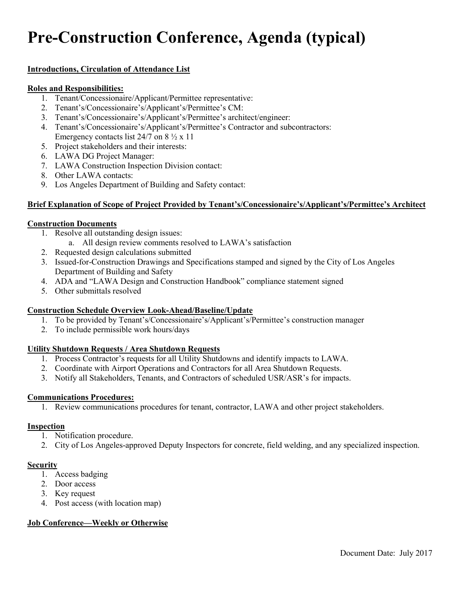# **Pre-Construction Conference, Agenda (typical)**

## **Introductions, Circulation of Attendance List**

## **Roles and Responsibilities:**

- 1. Tenant/Concessionaire/Applicant/Permittee representative:
- 2. Tenant's/Concessionaire's/Applicant's/Permittee's CM:
- 3. Tenant's/Concessionaire's/Applicant's/Permittee's architect/engineer:
- 4. Tenant's/Concessionaire's/Applicant's/Permittee's Contractor and subcontractors: Emergency contacts list  $24/7$  on  $8\frac{1}{2}$  x 11
- 5. Project stakeholders and their interests:
- 6. LAWA DG Project Manager:
- 7. LAWA Construction Inspection Division contact:
- 8. Other LAWA contacts:
- 9. Los Angeles Department of Building and Safety contact:

## **Brief Explanation of Scope of Project Provided by Tenant's/Concessionaire's/Applicant's/Permittee's Architect**

## **Construction Documents**

- 1. Resolve all outstanding design issues:
	- a. All design review comments resolved to LAWA's satisfaction
- 2. Requested design calculations submitted
- 3. Issued-for-Construction Drawings and Specifications stamped and signed by the City of Los Angeles Department of Building and Safety
- 4. ADA and "LAWA Design and Construction Handbook" compliance statement signed
- 5. Other submittals resolved

# **Construction Schedule Overview Look-Ahead/Baseline/Update**

- 1. To be provided by Tenant's/Concessionaire's/Applicant's/Permittee's construction manager
- 2. To include permissible work hours/days

## **Utility Shutdown Requests / Area Shutdown Requests**

- 1. Process Contractor's requests for all Utility Shutdowns and identify impacts to LAWA.
- 2. Coordinate with Airport Operations and Contractors for all Area Shutdown Requests.
- 3. Notify all Stakeholders, Tenants, and Contractors of scheduled USR/ASR's for impacts.

# **Communications Procedures:**

1. Review communications procedures for tenant, contractor, LAWA and other project stakeholders.

#### **Inspection**

- 1. Notification procedure.
- 2. City of Los Angeles-approved Deputy Inspectors for concrete, field welding, and any specialized inspection.

# **Security**

- 1. Access badging
- 2. Door access
- 3. Key request
- 4. Post access (with location map)

# **Job Conference—Weekly or Otherwise**